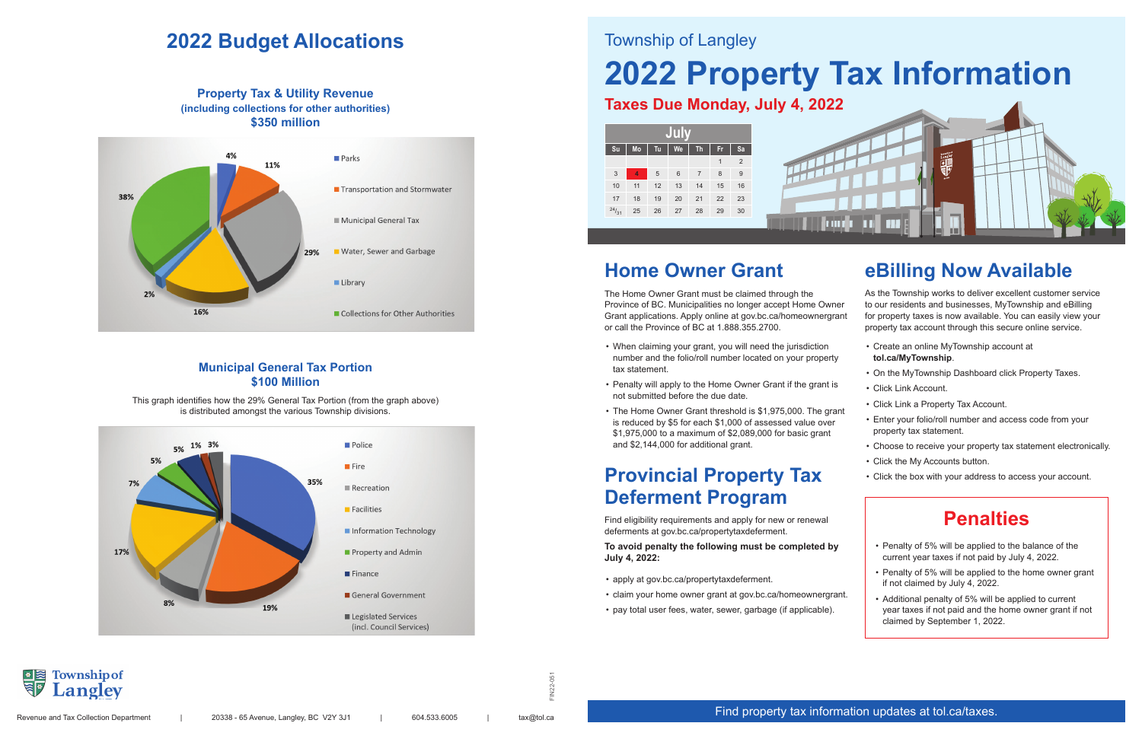FIN22-051



## **2022 Budget Allocations**

**Property Tax & Utility Revenue (including collections for other authorities) \$350 million**



This graph identifies how the 29% General Tax Portion (from the graph above) is distributed amongst the various Township divisions.



#### **Municipal General Tax Portion \$100 Million**

### Township of Langley

# **2022 Property Tax Information**

### **Taxes Due Monday, July 4, 2022**



## **Penalties**

- Penalty of 5% will be applied to the balance of the current year taxes if not paid by July 4, 2022.
- Penalty of 5% will be applied to the home owner grant if not claimed by July 4, 2022.
- Additional penalty of 5% will be applied to current year taxes if not paid and the home owner grant if not claimed by September 1, 2022.

## **Home Owner Grant**

The Home Owner Grant must be claimed through the Province of BC. Municipalities no longer accept Home Owner Grant applications. Apply online at gov.bc.ca/homeownergrant or call the Province of BC at 1.888.355.2700.

- When claiming your grant, you will need the jurisdiction number and the folio/roll number located on your property tax statement.
- Penalty will apply to the Home Owner Grant if the grant is not submitted before the due date.
- The Home Owner Grant threshold is \$1,975,000. The grant is reduced by \$5 for each \$1,000 of assessed value over \$1,975,000 to a maximum of \$2,089,000 for basic grant and \$2,144,000 for additional grant.

## **Provincial Property Tax Deferment Program**

Find eligibility requirements and apply for new or renewal deferments at gov.bc.ca/propertytaxdeferment.

**To avoid penalty the following must be completed by July 4, 2022:**

- apply at gov.bc.ca/propertytaxdeferment.
- claim your home owner grant at gov.bc.ca/homeownergrant.
- pay total user fees, water, sewer, garbage (if applicable).

## **BE** Township of

## **eBilling Now Available**

As the Township works to deliver excellent customer service to our residents and businesses, MyTownship and eBilling for property taxes is now available. You can easily view your property tax account through this secure online service.

- Create an online MyTownship account at **tol.ca/MyTownship**.
- On the MyTownship Dashboard click Property Taxes.
- Click Link Account.
- Click Link a Property Tax Account.
- Enter your folio/roll number and access code from your property tax statement.
- Choose to receive your property tax statement electronically.
- Click the My Accounts button.
- Click the box with your address to access your account.

#### Find property tax information updates at tol.ca/taxes.